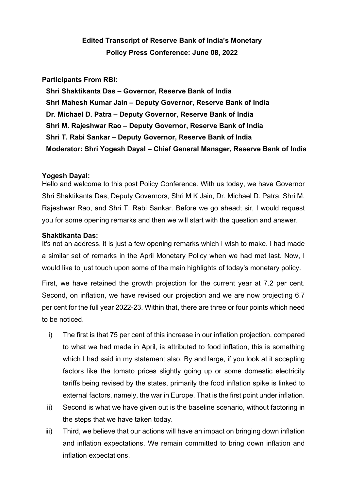# **Edited Transcript of Reserve Bank of India's Monetary Policy Press Conference: June 08, 2022**

## **Participants From RBI:**

**Shri Shaktikanta Das – Governor, Reserve Bank of India Shri Mahesh Kumar Jain – Deputy Governor, Reserve Bank of India Dr. Michael D. Patra – Deputy Governor, Reserve Bank of India Shri M. Rajeshwar Rao – Deputy Governor, Reserve Bank of India Shri T. Rabi Sankar – Deputy Governor, Reserve Bank of India Moderator: Shri Yogesh Dayal – Chief General Manager, Reserve Bank of India**

## **Yogesh Dayal:**

Hello and welcome to this post Policy Conference. With us today, we have Governor Shri Shaktikanta Das, Deputy Governors, Shri M K Jain, Dr. Michael D. Patra, Shri M. Rajeshwar Rao, and Shri T. Rabi Sankar. Before we go ahead; sir, I would request you for some opening remarks and then we will start with the question and answer.

## **Shaktikanta Das:**

It's not an address, it is just a few opening remarks which I wish to make. I had made a similar set of remarks in the April Monetary Policy when we had met last. Now, I would like to just touch upon some of the main highlights of today's monetary policy.

First, we have retained the growth projection for the current year at 7.2 per cent. Second, on inflation, we have revised our projection and we are now projecting 6.7 per cent for the full year 2022-23. Within that, there are three or four points which need to be noticed.

- i) The first is that 75 per cent of this increase in our inflation projection, compared to what we had made in April, is attributed to food inflation, this is something which I had said in my statement also. By and large, if you look at it accepting factors like the tomato prices slightly going up or some domestic electricity tariffs being revised by the states, primarily the food inflation spike is linked to external factors, namely, the war in Europe. That is the first point under inflation.
- ii) Second is what we have given out is the baseline scenario, without factoring in the steps that we have taken today.
- iii) Third, we believe that our actions will have an impact on bringing down inflation and inflation expectations. We remain committed to bring down inflation and inflation expectations.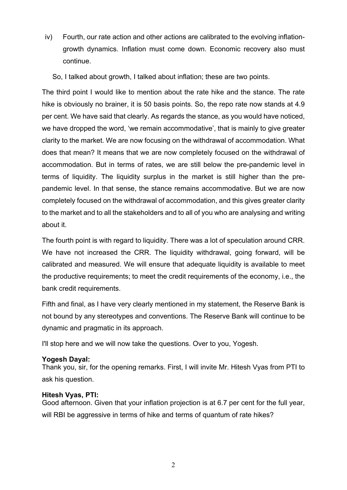- iv) Fourth, our rate action and other actions are calibrated to the evolving inflationgrowth dynamics. Inflation must come down. Economic recovery also must continue.
	- So, I talked about growth, I talked about inflation; these are two points.

The third point I would like to mention about the rate hike and the stance. The rate hike is obviously no brainer, it is 50 basis points. So, the repo rate now stands at 4.9 per cent. We have said that clearly. As regards the stance, as you would have noticed, we have dropped the word, 'we remain accommodative', that is mainly to give greater clarity to the market. We are now focusing on the withdrawal of accommodation. What does that mean? It means that we are now completely focused on the withdrawal of accommodation. But in terms of rates, we are still below the pre-pandemic level in terms of liquidity. The liquidity surplus in the market is still higher than the prepandemic level. In that sense, the stance remains accommodative. But we are now completely focused on the withdrawal of accommodation, and this gives greater clarity to the market and to all the stakeholders and to all of you who are analysing and writing about it.

The fourth point is with regard to liquidity. There was a lot of speculation around CRR. We have not increased the CRR. The liquidity withdrawal, going forward, will be calibrated and measured. We will ensure that adequate liquidity is available to meet the productive requirements; to meet the credit requirements of the economy, i.e., the bank credit requirements.

Fifth and final, as I have very clearly mentioned in my statement, the Reserve Bank is not bound by any stereotypes and conventions. The Reserve Bank will continue to be dynamic and pragmatic in its approach.

I'll stop here and we will now take the questions. Over to you, Yogesh.

## **Yogesh Dayal:**

Thank you, sir, for the opening remarks. First, I will invite Mr. Hitesh Vyas from PTI to ask his question.

## **Hitesh Vyas, PTI:**

Good afternoon. Given that your inflation projection is at 6.7 per cent for the full year, will RBI be aggressive in terms of hike and terms of quantum of rate hikes?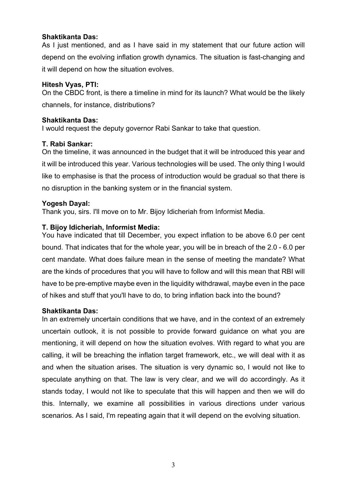As I just mentioned, and as I have said in my statement that our future action will depend on the evolving inflation growth dynamics. The situation is fast-changing and it will depend on how the situation evolves.

## **Hitesh Vyas, PTI:**

On the CBDC front, is there a timeline in mind for its launch? What would be the likely channels, for instance, distributions?

## **Shaktikanta Das:**

I would request the deputy governor Rabi Sankar to take that question.

## **T. Rabi Sankar:**

On the timeline, it was announced in the budget that it will be introduced this year and it will be introduced this year. Various technologies will be used. The only thing I would like to emphasise is that the process of introduction would be gradual so that there is no disruption in the banking system or in the financial system.

## **Yogesh Dayal:**

Thank you, sirs. I'll move on to Mr. Bijoy Idicheriah from Informist Media.

## **T. Bijoy Idicheriah, Informist Media:**

You have indicated that till December, you expect inflation to be above 6.0 per cent bound. That indicates that for the whole year, you will be in breach of the 2.0 - 6.0 per cent mandate. What does failure mean in the sense of meeting the mandate? What are the kinds of procedures that you will have to follow and will this mean that RBI will have to be pre-emptive maybe even in the liquidity withdrawal, maybe even in the pace of hikes and stuff that you'll have to do, to bring inflation back into the bound?

## **Shaktikanta Das:**

In an extremely uncertain conditions that we have, and in the context of an extremely uncertain outlook, it is not possible to provide forward guidance on what you are mentioning, it will depend on how the situation evolves. With regard to what you are calling, it will be breaching the inflation target framework, etc., we will deal with it as and when the situation arises. The situation is very dynamic so, I would not like to speculate anything on that. The law is very clear, and we will do accordingly. As it stands today, I would not like to speculate that this will happen and then we will do this. Internally, we examine all possibilities in various directions under various scenarios. As I said, I'm repeating again that it will depend on the evolving situation.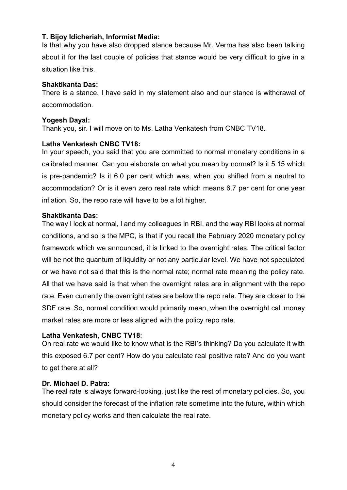## **T. Bijoy Idicheriah, Informist Media:**

Is that why you have also dropped stance because Mr. Verma has also been talking about it for the last couple of policies that stance would be very difficult to give in a situation like this.

## **Shaktikanta Das:**

There is a stance. I have said in my statement also and our stance is withdrawal of accommodation.

## **Yogesh Dayal:**

Thank you, sir. I will move on to Ms. Latha Venkatesh from CNBC TV18.

## **Latha Venkatesh CNBC TV18:**

In your speech, you said that you are committed to normal monetary conditions in a calibrated manner. Can you elaborate on what you mean by normal? Is it 5.15 which is pre-pandemic? Is it 6.0 per cent which was, when you shifted from a neutral to accommodation? Or is it even zero real rate which means 6.7 per cent for one year inflation. So, the repo rate will have to be a lot higher.

## **Shaktikanta Das:**

The way I look at normal, I and my colleagues in RBI, and the way RBI looks at normal conditions, and so is the MPC, is that if you recall the February 2020 monetary policy framework which we announced, it is linked to the overnight rates. The critical factor will be not the quantum of liquidity or not any particular level. We have not speculated or we have not said that this is the normal rate; normal rate meaning the policy rate. All that we have said is that when the overnight rates are in alignment with the repo rate. Even currently the overnight rates are below the repo rate. They are closer to the SDF rate. So, normal condition would primarily mean, when the overnight call money market rates are more or less aligned with the policy repo rate.

## **Latha Venkatesh, CNBC TV18**:

On real rate we would like to know what is the RBI's thinking? Do you calculate it with this exposed 6.7 per cent? How do you calculate real positive rate? And do you want to get there at all?

## **Dr. Michael D. Patra:**

The real rate is always forward-looking, just like the rest of monetary policies. So, you should consider the forecast of the inflation rate sometime into the future, within which monetary policy works and then calculate the real rate.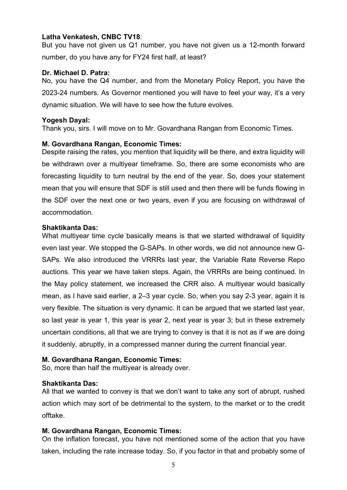## **Latha Venkatesh, CNBC TV18**:

But you have not given us Q1 number, you have not given us a 12-month forward number, do you have any for FY24 first half, at least?

## **Dr. Michael D. Patra:**

No, you have the Q4 number, and from the Monetary Policy Report, you have the 2023-24 numbers. As Governor mentioned you will have to feel your way, it's a very dynamic situation. We will have to see how the future evolves.

## **Yogesh Dayal:**

Thank you, sirs. I will move on to Mr. Govardhana Rangan from Economic Times.

## **M. Govardhana Rangan, Economic Times:**

Despite raising the rates, you mention that liquidity will be there, and extra liquidity will be withdrawn over a multiyear timeframe. So, there are some economists who are forecasting liquidity to turn neutral by the end of the year. So, does your statement mean that you will ensure that SDF is still used and then there will be funds flowing in the SDF over the next one or two years, even if you are focusing on withdrawal of accommodation.

## **Shaktikanta Das:**

What multiyear time cycle basically means is that we started withdrawal of liquidity even last year. We stopped the G-SAPs. In other words, we did not announce new G-SAPs. We also introduced the VRRRs last year, the Variable Rate Reverse Repo auctions. This year we have taken steps. Again, the VRRRs are being continued. In the May policy statement, we increased the CRR also. A multiyear would basically mean, as I have said earlier, a 2–3 year cycle. So, when you say 2-3 year, again it is very flexible. The situation is very dynamic. It can be argued that we started last year, so last year is year 1, this year is year 2, next year is year 3; but in these extremely uncertain conditions, all that we are trying to convey is that it is not as if we are doing it suddenly, abruptly, in a compressed manner during the current financial year.

## **M. Govardhana Rangan, Economic Times:**

So, more than half the multiyear is already over.

## **Shaktikanta Das:**

All that we wanted to convey is that we don't want to take any sort of abrupt, rushed action which may sort of be detrimental to the system, to the market or to the credit offtake.

## **M. Govardhana Rangan, Economic Times:**

On the inflation forecast, you have not mentioned some of the action that you have taken, including the rate increase today. So, if you factor in that and probably some of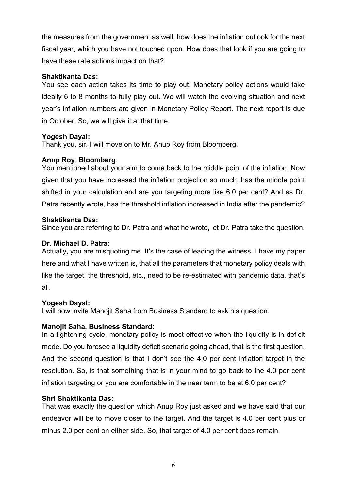the measures from the government as well, how does the inflation outlook for the next fiscal year, which you have not touched upon. How does that look if you are going to have these rate actions impact on that?

## **Shaktikanta Das:**

You see each action takes its time to play out. Monetary policy actions would take ideally 6 to 8 months to fully play out. We will watch the evolving situation and next year's inflation numbers are given in Monetary Policy Report. The next report is due in October. So, we will give it at that time.

## **Yogesh Dayal:**

Thank you, sir. I will move on to Mr. Anup Roy from Bloomberg.

## **Anup Roy**, **Bloomberg**:

You mentioned about your aim to come back to the middle point of the inflation. Now given that you have increased the inflation projection so much, has the middle point shifted in your calculation and are you targeting more like 6.0 per cent? And as Dr. Patra recently wrote, has the threshold inflation increased in India after the pandemic?

## **Shaktikanta Das:**

Since you are referring to Dr. Patra and what he wrote, let Dr. Patra take the question.

## **Dr. Michael D. Patra:**

Actually, you are misquoting me. It's the case of leading the witness. I have my paper here and what I have written is, that all the parameters that monetary policy deals with like the target, the threshold, etc., need to be re-estimated with pandemic data, that's all.

## **Yogesh Dayal:**

I will now invite Manojit Saha from Business Standard to ask his question.

## **Manojit Saha, Business Standard:**

In a tightening cycle, monetary policy is most effective when the liquidity is in deficit mode. Do you foresee a liquidity deficit scenario going ahead, that is the first question. And the second question is that I don't see the 4.0 per cent inflation target in the resolution. So, is that something that is in your mind to go back to the 4.0 per cent inflation targeting or you are comfortable in the near term to be at 6.0 per cent?

## **Shri Shaktikanta Das:**

That was exactly the question which Anup Roy just asked and we have said that our endeavor will be to move closer to the target. And the target is 4.0 per cent plus or minus 2.0 per cent on either side. So, that target of 4.0 per cent does remain.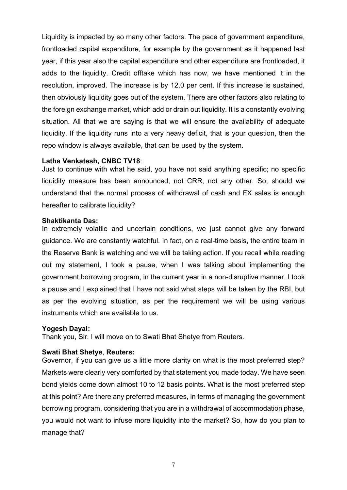Liquidity is impacted by so many other factors. The pace of government expenditure, frontloaded capital expenditure, for example by the government as it happened last year, if this year also the capital expenditure and other expenditure are frontloaded, it adds to the liquidity. Credit offtake which has now, we have mentioned it in the resolution, improved. The increase is by 12.0 per cent. If this increase is sustained, then obviously liquidity goes out of the system. There are other factors also relating to the foreign exchange market, which add or drain out liquidity. It is a constantly evolving situation. All that we are saying is that we will ensure the availability of adequate liquidity. If the liquidity runs into a very heavy deficit, that is your question, then the repo window is always available, that can be used by the system.

### **Latha Venkatesh, CNBC TV18**:

Just to continue with what he said, you have not said anything specific; no specific liquidity measure has been announced, not CRR, not any other. So, should we understand that the normal process of withdrawal of cash and FX sales is enough hereafter to calibrate liquidity?

### **Shaktikanta Das:**

In extremely volatile and uncertain conditions, we just cannot give any forward guidance. We are constantly watchful. In fact, on a real-time basis, the entire team in the Reserve Bank is watching and we will be taking action. If you recall while reading out my statement, I took a pause, when I was talking about implementing the government borrowing program, in the current year in a non-disruptive manner. I took a pause and I explained that I have not said what steps will be taken by the RBI, but as per the evolving situation, as per the requirement we will be using various instruments which are available to us.

#### **Yogesh Dayal:**

Thank you, Sir. I will move on to Swati Bhat Shetye from Reuters.

## **Swati Bhat Shetye**, **Reuters:**

Governor, if you can give us a little more clarity on what is the most preferred step? Markets were clearly very comforted by that statement you made today. We have seen bond yields come down almost 10 to 12 basis points. What is the most preferred step at this point? Are there any preferred measures, in terms of managing the government borrowing program, considering that you are in a withdrawal of accommodation phase, you would not want to infuse more liquidity into the market? So, how do you plan to manage that?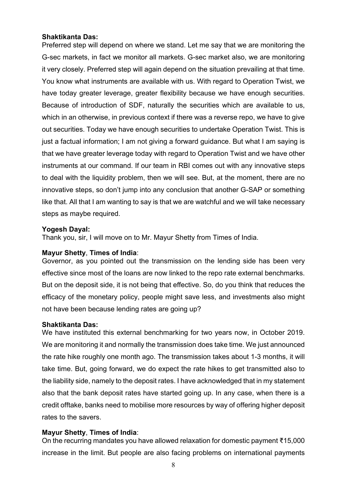Preferred step will depend on where we stand. Let me say that we are monitoring the G-sec markets, in fact we monitor all markets. G-sec market also, we are monitoring it very closely. Preferred step will again depend on the situation prevailing at that time. You know what instruments are available with us. With regard to Operation Twist, we have today greater leverage, greater flexibility because we have enough securities. Because of introduction of SDF, naturally the securities which are available to us, which in an otherwise, in previous context if there was a reverse repo, we have to give out securities. Today we have enough securities to undertake Operation Twist. This is just a factual information; I am not giving a forward guidance. But what I am saying is that we have greater leverage today with regard to Operation Twist and we have other instruments at our command. If our team in RBI comes out with any innovative steps to deal with the liquidity problem, then we will see. But, at the moment, there are no innovative steps, so don't jump into any conclusion that another G-SAP or something like that. All that I am wanting to say is that we are watchful and we will take necessary steps as maybe required.

#### **Yogesh Dayal:**

Thank you, sir, I will move on to Mr. Mayur Shetty from Times of India.

## **Mayur Shetty**, **Times of India**:

Governor, as you pointed out the transmission on the lending side has been very effective since most of the loans are now linked to the repo rate external benchmarks. But on the deposit side, it is not being that effective. So, do you think that reduces the efficacy of the monetary policy, people might save less, and investments also might not have been because lending rates are going up?

#### **Shaktikanta Das:**

We have instituted this external benchmarking for two years now, in October 2019. We are monitoring it and normally the transmission does take time. We just announced the rate hike roughly one month ago. The transmission takes about 1-3 months, it will take time. But, going forward, we do expect the rate hikes to get transmitted also to the liability side, namely to the deposit rates. I have acknowledged that in my statement also that the bank deposit rates have started going up. In any case, when there is a credit offtake, banks need to mobilise more resources by way of offering higher deposit rates to the savers.

## **Mayur Shetty**, **Times of India**:

On the recurring mandates you have allowed relaxation for domestic payment ₹15,000 increase in the limit. But people are also facing problems on international payments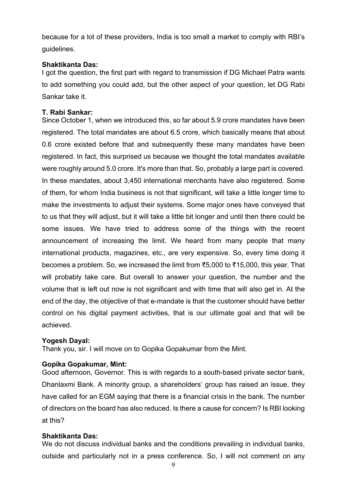because for a lot of these providers, India is too small a market to comply with RBI's guidelines.

## **Shaktikanta Das:**

I got the question, the first part with regard to transmission if DG Michael Patra wants to add something you could add, but the other aspect of your question, let DG Rabi Sankar take it.

## **T. Rabi Sankar:**

Since October 1, when we introduced this, so far about 5.9 crore mandates have been registered. The total mandates are about 6.5 crore, which basically means that about 0.6 crore existed before that and subsequently these many mandates have been registered. In fact, this surprised us because we thought the total mandates available were roughly around 5.0 crore. It's more than that. So, probably a large part is covered. In these mandates, about 3,450 international merchants have also registered. Some of them, for whom India business is not that significant, will take a little longer time to make the investments to adjust their systems. Some major ones have conveyed that to us that they will adjust, but it will take a little bit longer and until then there could be some issues. We have tried to address some of the things with the recent announcement of increasing the limit. We heard from many people that many international products, magazines, etc., are very expensive. So, every time doing it becomes a problem. So, we increased the limit from ₹5,000 to ₹15,000, this year. That will probably take care. But overall to answer your question, the number and the volume that is left out now is not significant and with time that will also get in. At the end of the day, the objective of that e-mandate is that the customer should have better control on his digital payment activities, that is our ultimate goal and that will be achieved.

## **Yogesh Dayal:**

Thank you, sir. I will move on to Gopika Gopakumar from the Mint.

## **Gopika Gopakumar, Mint:**

Good afternoon, Governor. This is with regards to a south-based private sector bank, Dhanlaxmi Bank. A minority group, a shareholders' group has raised an issue, they have called for an EGM saying that there is a financial crisis in the bank. The number of directors on the board has also reduced. Is there a cause for concern? Is RBI looking at this?

## **Shaktikanta Das:**

We do not discuss individual banks and the conditions prevailing in individual banks, outside and particularly not in a press conference. So, I will not comment on any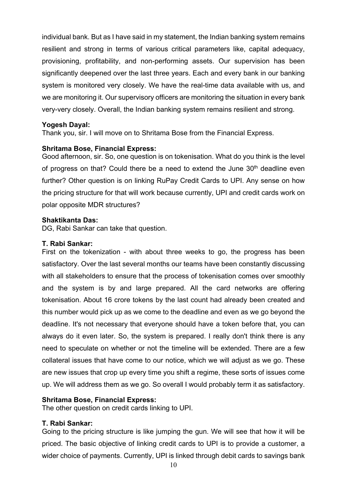individual bank. But as I have said in my statement, the Indian banking system remains resilient and strong in terms of various critical parameters like, capital adequacy, provisioning, profitability, and non-performing assets. Our supervision has been significantly deepened over the last three years. Each and every bank in our banking system is monitored very closely. We have the real-time data available with us, and we are monitoring it. Our supervisory officers are monitoring the situation in every bank very-very closely. Overall, the Indian banking system remains resilient and strong.

#### **Yogesh Dayal:**

Thank you, sir. I will move on to Shritama Bose from the Financial Express.

### **Shritama Bose, Financial Express:**

Good afternoon, sir. So, one question is on tokenisation. What do you think is the level of progress on that? Could there be a need to extend the June  $30<sup>th</sup>$  deadline even further? Other question is on linking RuPay Credit Cards to UPI. Any sense on how the pricing structure for that will work because currently, UPI and credit cards work on polar opposite MDR structures?

### **Shaktikanta Das:**

DG, Rabi Sankar can take that question.

### **T. Rabi Sankar:**

First on the tokenization - with about three weeks to go, the progress has been satisfactory. Over the last several months our teams have been constantly discussing with all stakeholders to ensure that the process of tokenisation comes over smoothly and the system is by and large prepared. All the card networks are offering tokenisation. About 16 crore tokens by the last count had already been created and this number would pick up as we come to the deadline and even as we go beyond the deadline. It's not necessary that everyone should have a token before that, you can always do it even later. So, the system is prepared. I really don't think there is any need to speculate on whether or not the timeline will be extended. There are a few collateral issues that have come to our notice, which we will adjust as we go. These are new issues that crop up every time you shift a regime, these sorts of issues come up. We will address them as we go. So overall I would probably term it as satisfactory.

## **Shritama Bose, Financial Express:**

The other question on credit cards linking to UPI.

## **T. Rabi Sankar:**

Going to the pricing structure is like jumping the gun. We will see that how it will be priced. The basic objective of linking credit cards to UPI is to provide a customer, a wider choice of payments. Currently, UPI is linked through debit cards to savings bank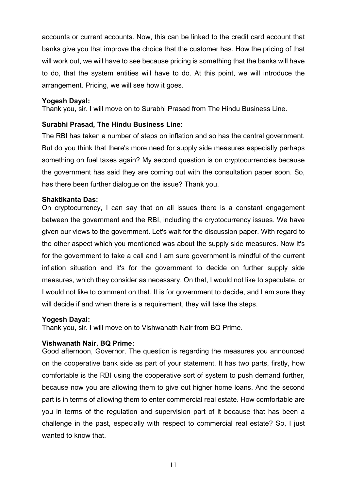accounts or current accounts. Now, this can be linked to the credit card account that banks give you that improve the choice that the customer has. How the pricing of that will work out, we will have to see because pricing is something that the banks will have to do, that the system entities will have to do. At this point, we will introduce the arrangement. Pricing, we will see how it goes.

### **Yogesh Dayal:**

Thank you, sir. I will move on to Surabhi Prasad from The Hindu Business Line.

## **Surabhi Prasad, The Hindu Business Line:**

The RBI has taken a number of steps on inflation and so has the central government. But do you think that there's more need for supply side measures especially perhaps something on fuel taxes again? My second question is on cryptocurrencies because the government has said they are coming out with the consultation paper soon. So, has there been further dialogue on the issue? Thank you.

### **Shaktikanta Das:**

On cryptocurrency, I can say that on all issues there is a constant engagement between the government and the RBI, including the cryptocurrency issues. We have given our views to the government. Let's wait for the discussion paper. With regard to the other aspect which you mentioned was about the supply side measures. Now it's for the government to take a call and I am sure government is mindful of the current inflation situation and it's for the government to decide on further supply side measures, which they consider as necessary. On that, I would not like to speculate, or I would not like to comment on that. It is for government to decide, and I am sure they will decide if and when there is a requirement, they will take the steps.

#### **Yogesh Dayal:**

Thank you, sir. I will move on to Vishwanath Nair from BQ Prime.

#### **Vishwanath Nair, BQ Prime:**

Good afternoon, Governor. The question is regarding the measures you announced on the cooperative bank side as part of your statement. It has two parts, firstly, how comfortable is the RBI using the cooperative sort of system to push demand further, because now you are allowing them to give out higher home loans. And the second part is in terms of allowing them to enter commercial real estate. How comfortable are you in terms of the regulation and supervision part of it because that has been a challenge in the past, especially with respect to commercial real estate? So, I just wanted to know that.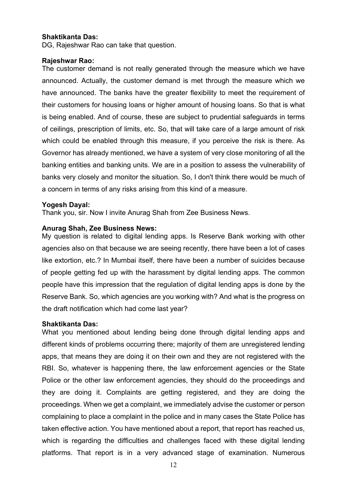DG, Rajeshwar Rao can take that question.

#### **Rajeshwar Rao:**

The customer demand is not really generated through the measure which we have announced. Actually, the customer demand is met through the measure which we have announced. The banks have the greater flexibility to meet the requirement of their customers for housing loans or higher amount of housing loans. So that is what is being enabled. And of course, these are subject to prudential safeguards in terms of ceilings, prescription of limits, etc. So, that will take care of a large amount of risk which could be enabled through this measure, if you perceive the risk is there. As Governor has already mentioned, we have a system of very close monitoring of all the banking entities and banking units. We are in a position to assess the vulnerability of banks very closely and monitor the situation. So, I don't think there would be much of a concern in terms of any risks arising from this kind of a measure.

#### **Yogesh Dayal:**

Thank you, sir. Now I invite Anurag Shah from Zee Business News.

#### **Anurag Shah, Zee Business News:**

My question is related to digital lending apps. Is Reserve Bank working with other agencies also on that because we are seeing recently, there have been a lot of cases like extortion, etc.? In Mumbai itself, there have been a number of suicides because of people getting fed up with the harassment by digital lending apps. The common people have this impression that the regulation of digital lending apps is done by the Reserve Bank. So, which agencies are you working with? And what is the progress on the draft notification which had come last year?

#### **Shaktikanta Das:**

What you mentioned about lending being done through digital lending apps and different kinds of problems occurring there; majority of them are unregistered lending apps, that means they are doing it on their own and they are not registered with the RBI. So, whatever is happening there, the law enforcement agencies or the State Police or the other law enforcement agencies, they should do the proceedings and they are doing it. Complaints are getting registered, and they are doing the proceedings. When we get a complaint, we immediately advise the customer or person complaining to place a complaint in the police and in many cases the State Police has taken effective action. You have mentioned about a report, that report has reached us, which is regarding the difficulties and challenges faced with these digital lending platforms. That report is in a very advanced stage of examination. Numerous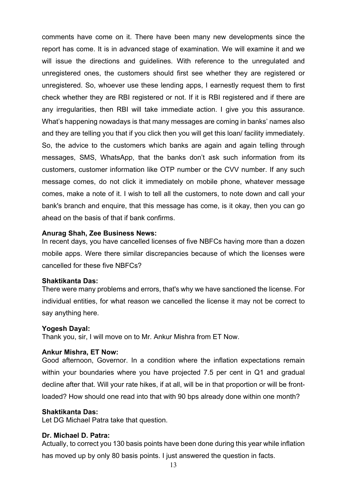comments have come on it. There have been many new developments since the report has come. It is in advanced stage of examination. We will examine it and we will issue the directions and guidelines. With reference to the unregulated and unregistered ones, the customers should first see whether they are registered or unregistered. So, whoever use these lending apps, I earnestly request them to first check whether they are RBI registered or not. If it is RBI registered and if there are any irregularities, then RBI will take immediate action. I give you this assurance. What's happening nowadays is that many messages are coming in banks' names also and they are telling you that if you click then you will get this loan/ facility immediately. So, the advice to the customers which banks are again and again telling through messages, SMS, WhatsApp, that the banks don't ask such information from its customers, customer information like OTP number or the CVV number. If any such message comes, do not click it immediately on mobile phone, whatever message comes, make a note of it. I wish to tell all the customers, to note down and call your bank's branch and enquire, that this message has come, is it okay, then you can go ahead on the basis of that if bank confirms.

### **Anurag Shah, Zee Business News:**

In recent days, you have cancelled licenses of five NBFCs having more than a dozen mobile apps. Were there similar discrepancies because of which the licenses were cancelled for these five NBFCs?

#### **Shaktikanta Das:**

There were many problems and errors, that's why we have sanctioned the license. For individual entities, for what reason we cancelled the license it may not be correct to say anything here.

#### **Yogesh Dayal:**

Thank you, sir, I will move on to Mr. Ankur Mishra from ET Now.

#### **Ankur Mishra, ET Now:**

Good afternoon, Governor. In a condition where the inflation expectations remain within your boundaries where you have projected 7.5 per cent in Q1 and gradual decline after that. Will your rate hikes, if at all, will be in that proportion or will be frontloaded? How should one read into that with 90 bps already done within one month?

#### **Shaktikanta Das:**

Let DG Michael Patra take that question.

#### **Dr. Michael D. Patra:**

Actually, to correct you 130 basis points have been done during this year while inflation has moved up by only 80 basis points. I just answered the question in facts.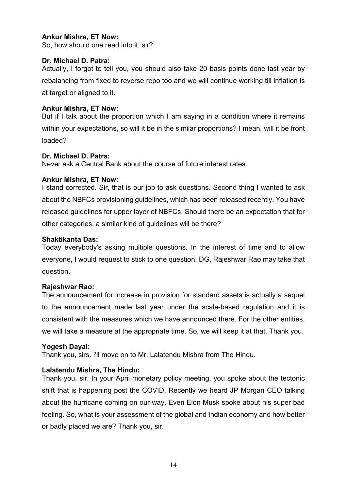## **Ankur Mishra, ET Now:**

So, how should one read into it, sir?

### **Dr. Michael D. Patra:**

Actually, I forgot to tell you, you should also take 20 basis points done last year by rebalancing from fixed to reverse repo too and we will continue working till inflation is at target or aligned to it.

## **Ankur Mishra, ET Now:**

But if I talk about the proportion which I am saying in a condition where it remains within your expectations, so will it be in the similar proportions? I mean, will it be front loaded?

### **Dr. Michael D. Patra:**

Never ask a Central Bank about the course of future interest rates.

### **Ankur Mishra, ET Now:**

I stand corrected. Sir, that is our job to ask questions. Second thing I wanted to ask about the NBFCs provisioning guidelines, which has been released recently. You have released guidelines for upper layer of NBFCs. Should there be an expectation that for other categories, a similar kind of guidelines will be there?

## **Shaktikanta Das:**

Today everybody's asking multiple questions. In the interest of time and to allow everyone, I would request to stick to one question. DG, Rajeshwar Rao may take that question.

#### **Rajeshwar Rao:**

The announcement for increase in provision for standard assets is actually a sequel to the announcement made last year under the scale-based regulation and it is consistent with the measures which we have announced there. For the other entities, we will take a measure at the appropriate time. So, we will keep it at that. Thank you.

#### **Yogesh Dayal:**

Thank you, sirs. I'll move on to Mr. Lalatendu Mishra from The Hindu.

## **Lalatendu Mishra, The Hindu:**

Thank you, sir. In your April monetary policy meeting, you spoke about the tectonic shift that is happening post the COVID. Recently we heard JP Morgan CEO talking about the hurricane coming on our way. Even Elon Musk spoke about his super bad feeling. So, what is your assessment of the global and Indian economy and how better or badly placed we are? Thank you, sir.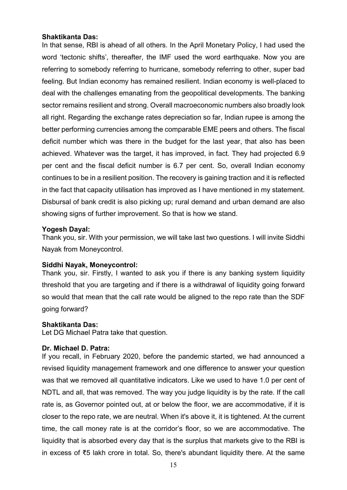In that sense, RBI is ahead of all others. In the April Monetary Policy, I had used the word 'tectonic shifts', thereafter, the IMF used the word earthquake. Now you are referring to somebody referring to hurricane, somebody referring to other, super bad feeling. But Indian economy has remained resilient. Indian economy is well-placed to deal with the challenges emanating from the geopolitical developments. The banking sector remains resilient and strong. Overall macroeconomic numbers also broadly look all right. Regarding the exchange rates depreciation so far, Indian rupee is among the better performing currencies among the comparable EME peers and others. The fiscal deficit number which was there in the budget for the last year, that also has been achieved. Whatever was the target, it has improved, in fact. They had projected 6.9 per cent and the fiscal deficit number is 6.7 per cent. So, overall Indian economy continues to be in a resilient position. The recovery is gaining traction and it is reflected in the fact that capacity utilisation has improved as I have mentioned in my statement. Disbursal of bank credit is also picking up; rural demand and urban demand are also showing signs of further improvement. So that is how we stand.

### **Yogesh Dayal:**

Thank you, sir. With your permission, we will take last two questions. I will invite Siddhi Nayak from Moneycontrol.

#### **Siddhi Nayak, Moneycontrol:**

Thank you, sir. Firstly, I wanted to ask you if there is any banking system liquidity threshold that you are targeting and if there is a withdrawal of liquidity going forward so would that mean that the call rate would be aligned to the repo rate than the SDF going forward?

#### **Shaktikanta Das:**

Let DG Michael Patra take that question.

## **Dr. Michael D. Patra:**

If you recall, in February 2020, before the pandemic started, we had announced a revised liquidity management framework and one difference to answer your question was that we removed all quantitative indicators. Like we used to have 1.0 per cent of NDTL and all, that was removed. The way you judge liquidity is by the rate. If the call rate is, as Governor pointed out, at or below the floor, we are accommodative, if it is closer to the repo rate, we are neutral. When it's above it, it is tightened. At the current time, the call money rate is at the corridor's floor, so we are accommodative. The liquidity that is absorbed every day that is the surplus that markets give to the RBI is in excess of ₹5 lakh crore in total. So, there's abundant liquidity there. At the same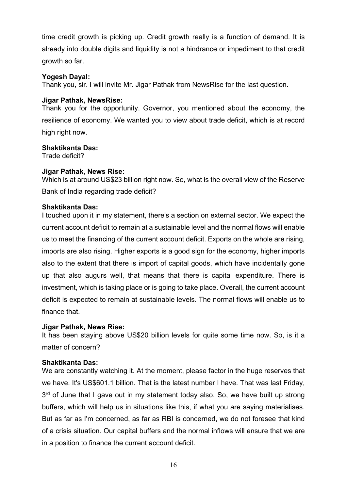time credit growth is picking up. Credit growth really is a function of demand. It is already into double digits and liquidity is not a hindrance or impediment to that credit growth so far.

## **Yogesh Dayal:**

Thank you, sir. I will invite Mr. Jigar Pathak from NewsRise for the last question.

## **Jigar Pathak, NewsRise:**

Thank you for the opportunity. Governor, you mentioned about the economy, the resilience of economy. We wanted you to view about trade deficit, which is at record high right now.

# **Shaktikanta Das:**

Trade deficit?

## **Jigar Pathak, News Rise:**

Which is at around US\$23 billion right now. So, what is the overall view of the Reserve Bank of India regarding trade deficit?

## **Shaktikanta Das:**

I touched upon it in my statement, there's a section on external sector. We expect the current account deficit to remain at a sustainable level and the normal flows will enable us to meet the financing of the current account deficit. Exports on the whole are rising, imports are also rising. Higher exports is a good sign for the economy, higher imports also to the extent that there is import of capital goods, which have incidentally gone up that also augurs well, that means that there is capital expenditure. There is investment, which is taking place or is going to take place. Overall, the current account deficit is expected to remain at sustainable levels. The normal flows will enable us to finance that.

## **Jigar Pathak, News Rise:**

It has been staying above US\$20 billion levels for quite some time now. So, is it a matter of concern?

## **Shaktikanta Das:**

We are constantly watching it. At the moment, please factor in the huge reserves that we have. It's US\$601.1 billion. That is the latest number I have. That was last Friday, 3<sup>rd</sup> of June that I gave out in my statement today also. So, we have built up strong buffers, which will help us in situations like this, if what you are saying materialises. But as far as I'm concerned, as far as RBI is concerned, we do not foresee that kind of a crisis situation. Our capital buffers and the normal inflows will ensure that we are in a position to finance the current account deficit.